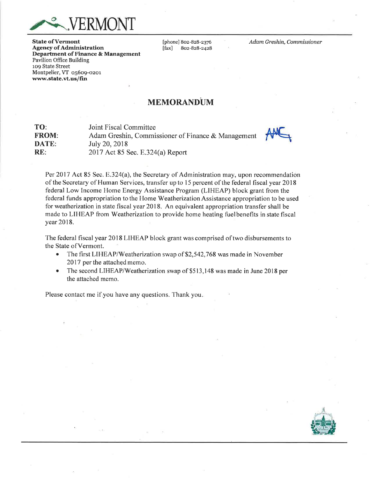

**State of Vermont** Agency of Administration Departrnent of Finance & Management Pavilion Office Building 109 State Street Montpelier, VT o56o9-ozor www.state.vt.us/fin

[phone] 802-828-2376<br>[fax] 802-828-2428] [fax] 8oz-Bz8-2428 Adam Greshin, Commissioner

## MEMORANDUM

| TO:          | Joint Fiscal Committee                             |     |
|--------------|----------------------------------------------------|-----|
| <b>FROM:</b> | Adam Greshin, Commissioner of Finance & Management | AMC |
| DATE:        | July 20, 2018                                      |     |
| RE:          | $2017$ Act 85 Sec. E.324(a) Report                 |     |

Per 2017 Act 85 Sec. E.324(a), the Secretary of Administration may, upon recommendation of the Secretary of Human Services, transfer up to l5 percent of the federal fiscal year 2018 federal Low Income Home Energy Assistance Program (LIHEAP) block grant from the federal funds appropriation to the Home Weatherization Assistance appropriation to be used for weatherization in state fiscal year 2018. An equivalent appropriation transfer shall be made to LIHEAP from Weatherization to provide home heating fuelbenefits in state fiscal year 2018.

The federal fiscal year 2018 LIHEAP block grant was comprised oftwo disbursements to the State ofVermont.

- The first LIHEAP/Weatherization swap of \$2,542,768 was made in November 2017 per the attached memo.
- The second LIHEAP/Weatherization swap of \$513,148 was made in June 2018 per the attached memo.

Please contact me if you have any questions. Thank you.

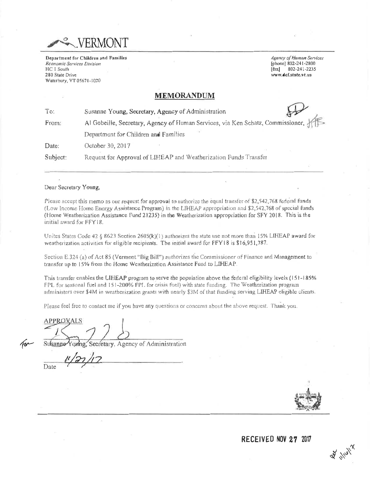

Department for Children and Families **Economic Services Division** HC 1 South 280 State Drive Waterbury, VT 05671-1020

Agency of Human Services [phone] 802-241-2800 [fax] 802-241-2235 www.def.state.vt.us

## **MEMORANDUM**

 $To:$ Susanne Young, Secretary, Agency of Administration From: Al Gobeille, Secretary, Agency of Human Services, via Ken Schatz, Commissioner, Department for Children and Families Date: October 30, 2017 Subject: Request for Approval of LIHEAP and Weatherization Funds Transfer

## Dear Secretary Young,

Please accept this memo as our request for approval to authorize the equal transfer of \$2,542,768 federal funds (Low Income Home Energy Assistance Program) in the LIHEAP appropriation and \$2,542,768 of special funds (Home Weatherization Assistance Fund 21235) in the Weatherization appropriation for SFY 2018. This is the initial award for FFY18.

Unites States Code 42 § 8623 Section 2605(k)(1) authorizes the state use not more than 15% LIHEAP award for weatherization activities for eligible recipients. The initial award for FFY18 is \$16,951,787.

Section E.324 (a) of Act 85 (Vermont "Big Bill") authorizes the Commissioner of Finance and Management to transfer up to 15% from the Home Weatherization Assistance Fund to LIHEAP.

This transfer enables the LIHEAP program to serve the population above the federal eligibility levels (151-185% FPL for seasonal fuel and 151-200% FPL for crisis fuel) with state funding. The Weatherization program administers over \$4M in weatherization grants with nearly \$3M of that funding serving LIHEAP eligible clients.

Please feel free to contact me if you have any questions or concerns about the above request. Thank you.

**APPROVALS** 

ecretary, Agency of Administration Susanne

Date



 $28.1101$ 

RECEIVED NOV 27 2017